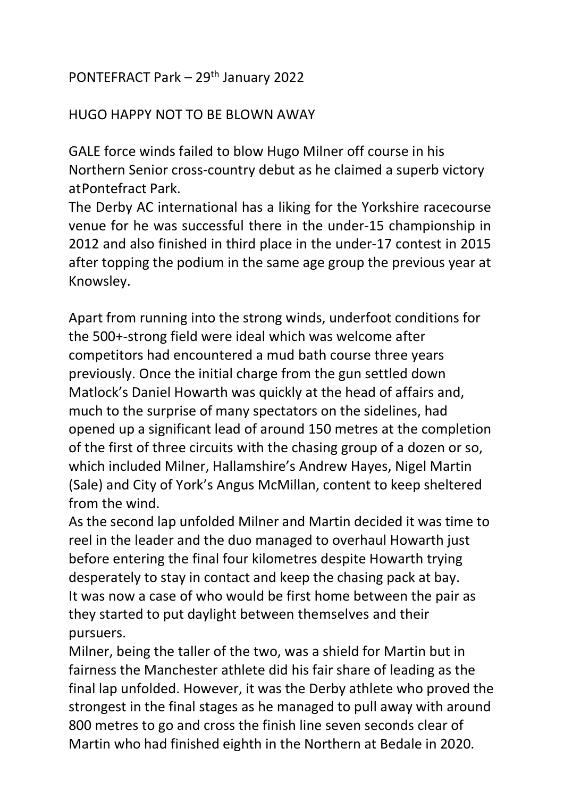## PONTEFRACT Park – 29th January 2022

#### HUGO HAPPY NOT TO BE BLOWN AWAY

GALE force winds failed to blow Hugo Milner off course in his Northern Senior cross-country debut as he claimed a superb victory at Pontefract Park.

The Derby AC international has a liking for the Yorkshire racecourse venue for he was successful there in the under-15 championship in 2012 and also finished in third place in the under-17 contest in 2015 after topping the podium in the same age group the previous year at Knowsley.

Apart from running into the strong winds, underfoot conditions for the 500+-strong field were ideal which was welcome after competitors had encountered a mud bath course three years previously. Once the initial charge from the gun settled down Matlock's Daniel Howarth was quickly at the head of affairs and, much to the surprise of many spectators on the sidelines, had opened up a significant lead of around 150 metres at the completion of the first of three circuits with the chasing group of a dozen or so, which included Milner, Hallamshire's Andrew Hayes, Nigel Martin (Sale) and City of York's Angus McMillan, content to keep sheltered from the wind.

As the second lap unfolded Milner and Martin decided it was time to reel in the leader and the duo managed to overhaul Howarth just before entering the final four kilometres despite Howarth trying desperately to stay in contact and keep the chasing pack at bay. It was now a case of who would be first home between the pair as they started to put daylight between themselves and their pursuers.

Milner, being the taller of the two, was a shield for Martin but in fairness the Manchester athlete did his fair share of leading as the final lap unfolded. However, it was the Derby athlete who proved the strongest in the final stages as he managed to pull away with around 800 metres to go and cross the finish line seven seconds clear of Martin who had finished eighth in the Northern at Bedale in 2020.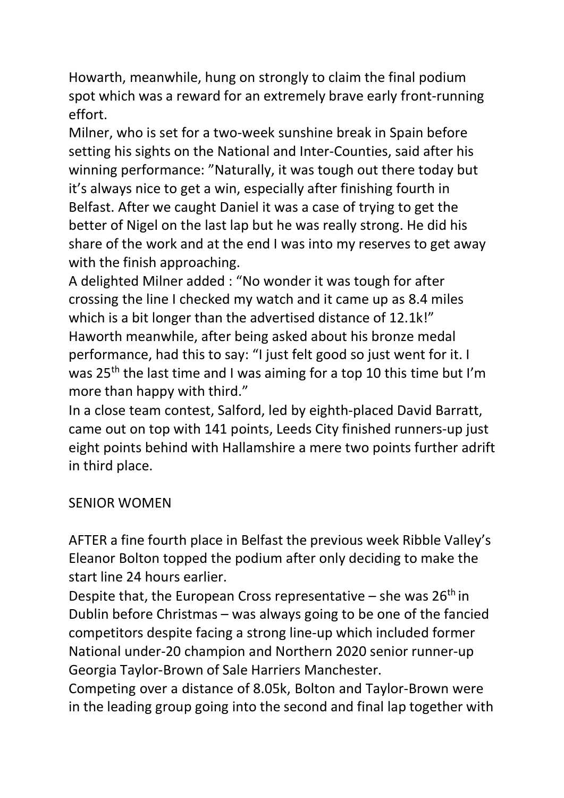Howarth, meanwhile, hung on strongly to claim the final podium spot which was a reward for an extremely brave early front-running effort.

Milner, who is set for a two-week sunshine break in Spain before setting his sights on the National and Inter-Counties, said after his winning performance: "Naturally, it was tough out there today but it's always nice to get a win, especially after finishing fourth in Belfast. After we caught Daniel it was a case of trying to get the better of Nigel on the last lap but he was really strong. He did his share of the work and at the end I was into my reserves to get away with the finish approaching.

A delighted Milner added : "No wonder it was tough for after crossing the line I checked my watch and it came up as 8.4 miles which is a bit longer than the advertised distance of 12.1k!" Haworth meanwhile, after being asked about his bronze medal performance, had this to say: "I just felt good so just went for it. I was 25<sup>th</sup> the last time and I was aiming for a top 10 this time but I'm more than happy with third."

In a close team contest, Salford, led by eighth-placed David Barratt, came out on top with 141 points, Leeds City finished runners-up just eight points behind with Hallamshire a mere two points further adrift in third place.

# SENIOR WOMEN

AFTER a fine fourth place in Belfast the previous week Ribble Valley's Eleanor Bolton topped the podium after only deciding to make the start line 24 hours earlier.

Despite that, the European Cross representative – she was  $26<sup>th</sup>$  in Dublin before Christmas – was always going to be one of the fancied competitors despite facing a strong line-up which included former National under-20 champion and Northern 2020 senior runner-up Georgia Taylor-Brown of Sale Harriers Manchester.

Competing over a distance of 8.05k, Bolton and Taylor-Brown were in the leading group going into the second and final lap together with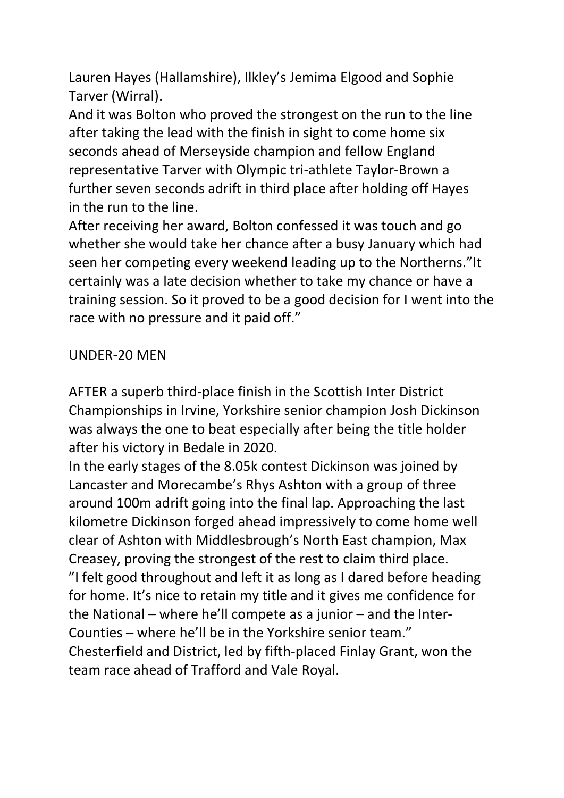Lauren Hayes (Hallamshire), Ilkley's Jemima Elgood and Sophie Tarver (Wirral).

And it was Bolton who proved the strongest on the run to the line after taking the lead with the finish in sight to come home six seconds ahead of Merseyside champion and fellow England representative Tarver with Olympic tri-athlete Taylor-Brown a further seven seconds adrift in third place after holding off Hayes in the run to the line.

After receiving her award, Bolton confessed it was touch and go whether she would take her chance after a busy January which had seen her competing every weekend leading up to the Northerns."It certainly was a late decision whether to take my chance or have a training session. So it proved to be a good decision for I went into the race with no pressure and it paid off."

#### UNDER-20 MEN

AFTER a superb third-place finish in the Scottish Inter District Championships in Irvine, Yorkshire senior champion Josh Dickinson was always the one to beat especially after being the title holder after his victory in Bedale in 2020.

In the early stages of the 8.05k contest Dickinson was joined by Lancaster and Morecambe's Rhys Ashton with a group of three around 100m adrift going into the final lap. Approaching the last kilometre Dickinson forged ahead impressively to come home well clear of Ashton with Middlesbrough's North East champion, Max Creasey, proving the strongest of the rest to claim third place. "I felt good throughout and left it as long as I dared before heading for home. It's nice to retain my title and it gives me confidence for the National – where he'll compete as a junior – and the Inter-Counties – where he'll be in the Yorkshire senior team." Chesterfield and District, led by fifth-placed Finlay Grant, won the team race ahead of Trafford and Vale Royal.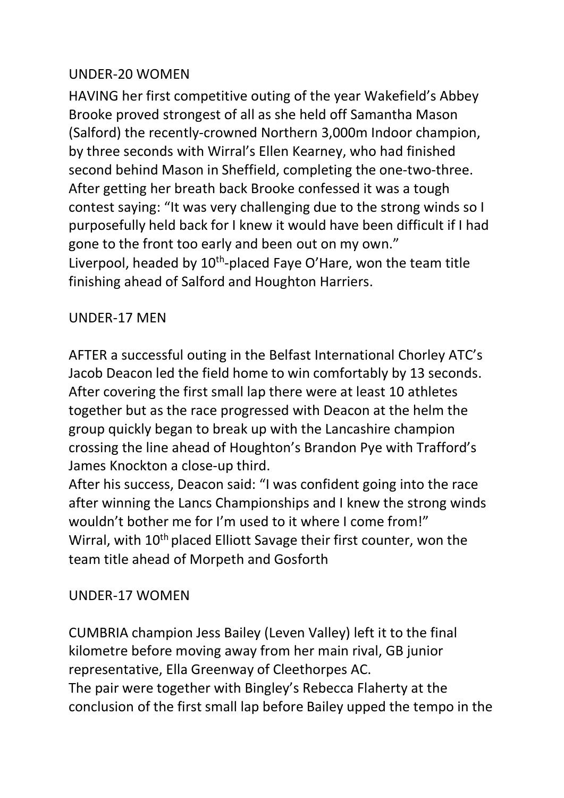## UNDER-20 WOMEN

HAVING her first competitive outing of the year Wakefield's Abbey Brooke proved strongest of all as she held off Samantha Mason (Salford) the recently-crowned Northern 3,000m Indoor champion, by three seconds with Wirral's Ellen Kearney, who had finished second behind Mason in Sheffield, completing the one-two-three. After getting her breath back Brooke confessed it was a tough contest saying: "It was very challenging due to the strong winds so I purposefully held back for I knew it would have been difficult if I had gone to the front too early and been out on my own." Liverpool, headed by 10<sup>th</sup>-placed Faye O'Hare, won the team title finishing ahead of Salford and Houghton Harriers.

### UNDER-17 MEN

AFTER a successful outing in the Belfast International Chorley ATC's Jacob Deacon led the field home to win comfortably by 13 seconds. After covering the first small lap there were at least 10 athletes together but as the race progressed with Deacon at the helm the group quickly began to break up with the Lancashire champion crossing the line ahead of Houghton's Brandon Pye with Trafford's James Knockton a close-up third.

After his success, Deacon said: "I was confident going into the race after winning the Lancs Championships and I knew the strong winds wouldn't bother me for I'm used to it where I come from!" Wirral, with 10<sup>th</sup> placed Elliott Savage their first counter, won the team title ahead of Morpeth and Gosforth

### UNDER-17 WOMEN

CUMBRIA champion Jess Bailey (Leven Valley) left it to the final kilometre before moving away from her main rival, GB junior representative, Ella Greenway of Cleethorpes AC. The pair were together with Bingley's Rebecca Flaherty at the conclusion of the first small lap before Bailey upped the tempo in the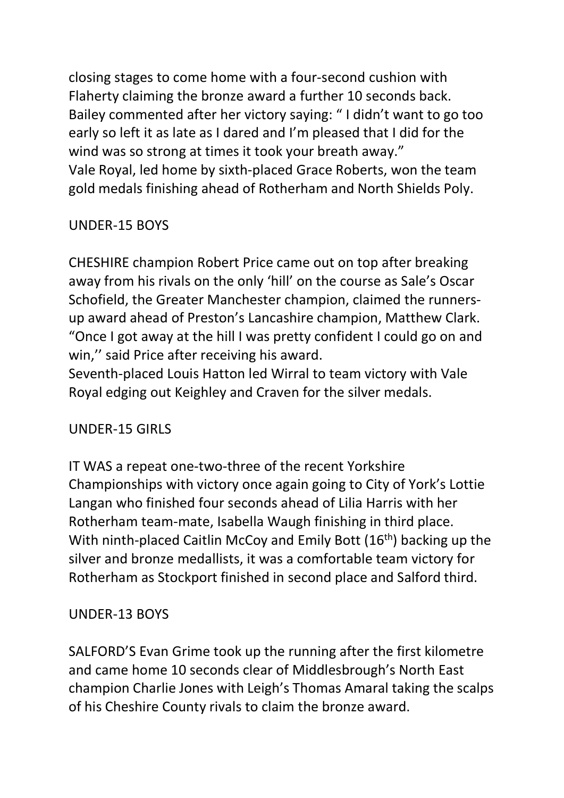closing stages to come home with a four-second cushion with Flaherty claiming the bronze award a further 10 seconds back. Bailey commented after her victory saying: " I didn't want to go too early so left it as late as I dared and I'm pleased that I did for the wind was so strong at times it took your breath away." Vale Royal, led home by sixth-placed Grace Roberts, won the team gold medals finishing ahead of Rotherham and North Shields Poly.

# UNDER-15 BOYS

CHESHIRE champion Robert Price came out on top after breaking away from his rivals on the only 'hill' on the course as Sale's Oscar Schofield, the Greater Manchester champion, claimed the runnersup award ahead of Preston's Lancashire champion, Matthew Clark. "Once I got away at the hill I was pretty confident I could go on and win,'' said Price after receiving his award.

Seventh-placed Louis Hatton led Wirral to team victory with Vale Royal edging out Keighley and Craven for the silver medals.

### UNDER-15 GIRLS

IT WAS a repeat one-two-three of the recent Yorkshire Championships with victory once again going to City of York's Lottie Langan who finished four seconds ahead of Lilia Harris with her Rotherham team-mate, Isabella Waugh finishing in third place. With ninth-placed Caitlin McCoy and Emily Bott (16<sup>th</sup>) backing up the silver and bronze medallists, it was a comfortable team victory for Rotherham as Stockport finished in second place and Salford third.

### UNDER-13 BOYS

SALFORD'S Evan Grime took up the running after the first kilometre and came home 10 seconds clear of Middlesbrough's North East champion Charlie Jones with Leigh's Thomas Amaral taking the scalps of his Cheshire County rivals to claim the bronze award.